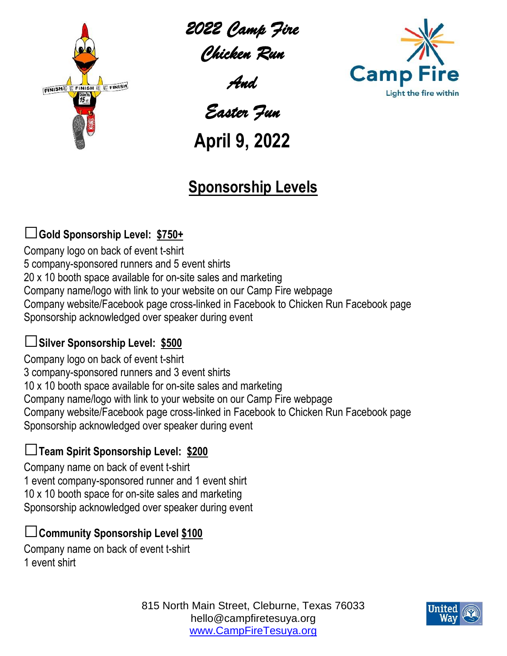

*2022 Camp Fire Chicken Run* 

*And* 

**Camp** 

Light the fire within

*Easter Fun* 

# **April 9, 2022**

### **Sponsorship Levels**

### **□Gold Sponsorship Level: \$750+**

Company logo on back of event t-shirt 5 company-sponsored runners and 5 event shirts 20 x 10 booth space available for on-site sales and marketing Company name/logo with link to your website on our Camp Fire webpage Company website/Facebook page cross-linked in Facebook to Chicken Run Facebook page Sponsorship acknowledged over speaker during event

#### **□Silver Sponsorship Level: \$500**

Company logo on back of event t-shirt 3 company-sponsored runners and 3 event shirts 10 x 10 booth space available for on-site sales and marketing Company name/logo with link to your website on our Camp Fire webpage Company website/Facebook page cross-linked in Facebook to Chicken Run Facebook page Sponsorship acknowledged over speaker during event

#### **□Team Spirit Sponsorship Level: \$200**

Company name on back of event t-shirt 1 event company-sponsored runner and 1 event shirt 10 x 10 booth space for on-site sales and marketing Sponsorship acknowledged over speaker during event

#### **□Community Sponsorship Level \$100**

Company name on back of event t-shirt 1 event shirt